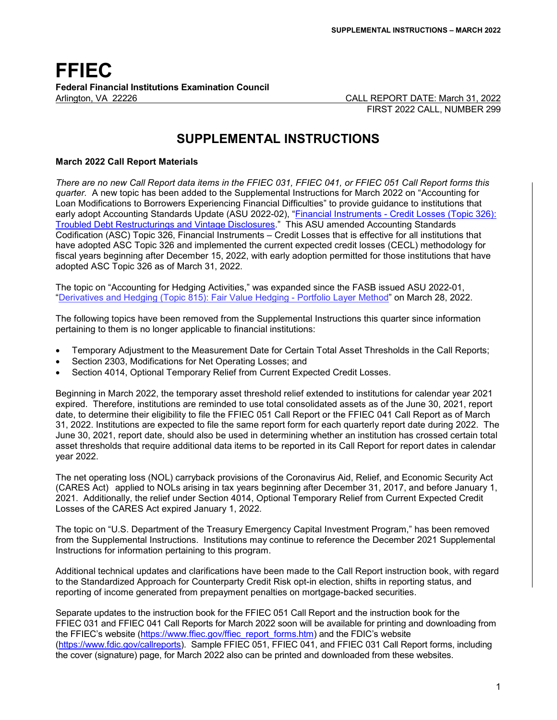## **FFIEC Federal Financial Institutions Examination Council** Arlington, VA 22226 CALL REPORT DATE: March 31, 2022

FIRST 2022 CALL, NUMBER 299

# **SUPPLEMENTAL INSTRUCTIONS**

#### **March 2022 Call Report Materials**

*There are no new Call Report data items in the FFIEC 031, FFIEC 041, or FFIEC 051 Call Report forms this quarter.* A new topic has been added to the Supplemental Instructions for March 2022 on "Accounting for Loan Modifications to Borrowers Experiencing Financial Difficulties" to provide guidance to institutions that early adopt Accounting Standards Update (ASU 2022-02), ["Financial Instruments - Credit Losses \(Topic 326\):](https://www.fasb.org/Page/ShowPdf?path=ASU+2022-02.pdf&title=ACCOUNTING+STANDARDS+UPDATE+2022-02%E2%80%94FINANCIAL+INSTRUMENTS%E2%80%94CREDIT+LOSSES+%28TOPIC+326%29%3A+TROUBLED+DEBT+RESTRUCTURINGS+AND+VINTAGE+DISCLOSURES&acceptedDisclaimer=true&Submit=)  [Troubled Debt Restructurings and Vintage Disclosures.](https://www.fasb.org/Page/ShowPdf?path=ASU+2022-02.pdf&title=ACCOUNTING+STANDARDS+UPDATE+2022-02%E2%80%94FINANCIAL+INSTRUMENTS%E2%80%94CREDIT+LOSSES+%28TOPIC+326%29%3A+TROUBLED+DEBT+RESTRUCTURINGS+AND+VINTAGE+DISCLOSURES&acceptedDisclaimer=true&Submit=)" This ASU amended Accounting Standards Codification (ASC) Topic 326, Financial Instruments – Credit Losses that is effective for all institutions that have adopted ASC Topic 326 and implemented the current expected credit losses (CECL) methodology for fiscal years beginning after December 15, 2022, with early adoption permitted for those institutions that have adopted ASC Topic 326 as of March 31, 2022.

The topic on "Accounting for Hedging Activities," was expanded since the FASB issued [ASU 2022-01,](https://fasb.org/Page/ShowPdf?path=ASU+2022-01.pdf&title=ACCOUNTING+STANDARDS+UPDATE+2022-01%E2%80%94DERIVATIVES+AND+HEDGING+%28TOPIC+815%29%3A+FAIR+VALUE+HEDGING%E2%80%94PORTFOLIO+LAYER+METHOD&acceptedDisclaimer=true&Submit=)  ["Derivatives and Hedging \(Topic 815\): Fair Value Hedging - Portfolio Layer Method"](https://fasb.org/Page/ShowPdf?path=ASU+2022-01.pdf&title=ACCOUNTING+STANDARDS+UPDATE+2022-01%E2%80%94DERIVATIVES+AND+HEDGING+%28TOPIC+815%29%3A+FAIR+VALUE+HEDGING%E2%80%94PORTFOLIO+LAYER+METHOD&acceptedDisclaimer=true&Submit=) on March 28, 2022.

The following topics have been removed from the Supplemental Instructions this quarter since information pertaining to them is no longer applicable to financial institutions:

- Temporary Adjustment to the Measurement Date for Certain Total Asset Thresholds in the Call Reports;
- Section 2303, Modifications for Net Operating Losses; and
- Section 4014, Optional Temporary Relief from Current Expected Credit Losses.

Beginning in March 2022, the temporary asset threshold relief extended to institutions for calendar year 2021 expired. Therefore, institutions are reminded to use total consolidated assets as of the June 30, 2021, report date, to determine their eligibility to file the FFIEC 051 Call Report or the FFIEC 041 Call Report as of March 31, 2022. Institutions are expected to file the same report form for each quarterly report date during 2022. The June 30, 2021, report date, should also be used in determining whether an institution has crossed certain total asset thresholds that require additional data items to be reported in its Call Report for report dates in calendar year 2022.

The net operating loss (NOL) carryback provisions of the Coronavirus Aid, Relief, and Economic Security Act (CARES Act) applied to NOLs arising in tax years beginning after December 31, 2017, and before January 1, 2021. Additionally, the relief under Section 4014, Optional Temporary Relief from Current Expected Credit Losses of the CARES Act expired January 1, 2022.

The topic on "U.S. Department of the Treasury Emergency Capital Investment Program," has been removed from the Supplemental Instructions. Institutions may continue to reference the December 2021 Supplemental Instructions for information pertaining to this program.

Additional technical updates and clarifications have been made to the Call Report instruction book, with regard to the Standardized Approach for Counterparty Credit Risk opt-in election, shifts in reporting status, and reporting of income generated from prepayment penalties on mortgage-backed securities.

Separate updates to the instruction book for the FFIEC 051 Call Report and the instruction book for the FFIEC 031 and FFIEC 041 Call Reports for March 2022 soon will be available for printing and downloading from the FFIEC's website [\(https://www.ffiec.gov/ffiec\\_report\\_forms.htm\)](https://www.ffiec.gov/ffiec_report_forms.htm) and the FDIC's website [\(https://www.fdic.gov/callreports\)](https://www.fdic.gov/callreports). Sample FFIEC 051, FFIEC 041, and FFIEC 031 Call Report forms, including the cover (signature) page, for March 2022 also can be printed and downloaded from these websites.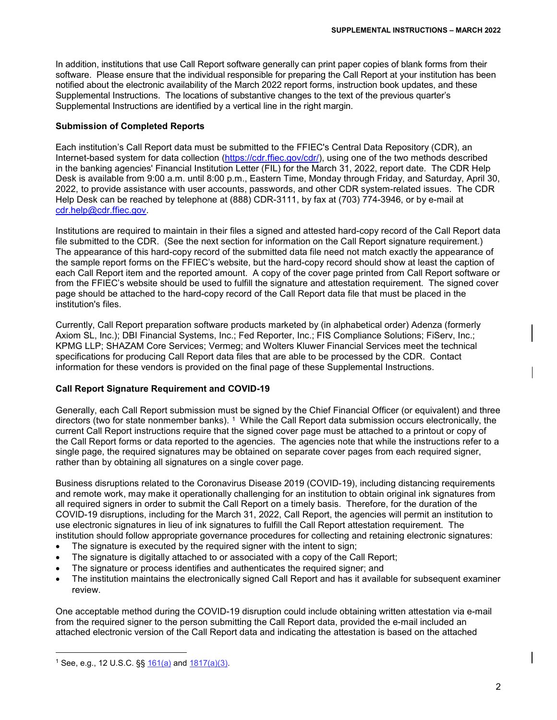In addition, institutions that use Call Report software generally can print paper copies of blank forms from their software. Please ensure that the individual responsible for preparing the Call Report at your institution has been notified about the electronic availability of the March 2022 report forms, instruction book updates, and these Supplemental Instructions. The locations of substantive changes to the text of the previous quarter's Supplemental Instructions are identified by a vertical line in the right margin.

#### **Submission of Completed Reports**

Each institution's Call Report data must be submitted to the FFIEC's Central Data Repository (CDR), an Internet-based system for data collection [\(https://cdr.ffiec.gov/cdr/\)](https://cdr.ffiec.gov/cdr/), using one of the two methods described in the banking agencies' Financial Institution Letter (FIL) for the March 31, 2022, report date. The CDR Help Desk is available from 9:00 a.m. until 8:00 p.m., Eastern Time, Monday through Friday, and Saturday, April 30, 2022, to provide assistance with user accounts, passwords, and other CDR system-related issues. The CDR Help Desk can be reached by telephone at (888) CDR-3111, by fax at (703) 774-3946, or by e-mail at [cdr.help@cdr.ffiec.gov.](mailto:cdr.help@cdr.ffiec.gov)

Institutions are required to maintain in their files a signed and attested hard-copy record of the Call Report data file submitted to the CDR. (See the next section for information on the Call Report signature requirement.) The appearance of this hard-copy record of the submitted data file need not match exactly the appearance of the sample report forms on the FFIEC's website, but the hard-copy record should show at least the caption of each Call Report item and the reported amount. A copy of the cover page printed from Call Report software or from the FFIEC's website should be used to fulfill the signature and attestation requirement. The signed cover page should be attached to the hard-copy record of the Call Report data file that must be placed in the institution's files.

Currently, Call Report preparation software products marketed by (in alphabetical order) Adenza (formerly Axiom SL, Inc.); DBI Financial Systems, Inc.; Fed Reporter, Inc.; FIS Compliance Solutions; FiServ, Inc.; KPMG LLP; SHAZAM Core Services; Vermeg; and Wolters Kluwer Financial Services meet the technical specifications for producing Call Report data files that are able to be processed by the CDR. Contact information for these vendors is provided on the final page of these Supplemental Instructions.

#### **Call Report Signature Requirement and COVID-19**

Generally, each Call Report submission must be signed by the Chief Financial Officer (or equivalent) and three directors (two for state nonmember banks). [1](#page-1-0) While the Call Report data submission occurs electronically, the current Call Report instructions require that the signed cover page must be attached to a printout or copy of the Call Report forms or data reported to the agencies. The agencies note that while the instructions refer to a single page, the required signatures may be obtained on separate cover pages from each required signer, rather than by obtaining all signatures on a single cover page.

Business disruptions related to the Coronavirus Disease 2019 (COVID-19), including distancing requirements and remote work, may make it operationally challenging for an institution to obtain original ink signatures from all required signers in order to submit the Call Report on a timely basis. Therefore, for the duration of the COVID-19 disruptions, including for the March 31, 2022, Call Report, the agencies will permit an institution to use electronic signatures in lieu of ink signatures to fulfill the Call Report attestation requirement. The institution should follow appropriate governance procedures for collecting and retaining electronic signatures:

- The signature is executed by the required signer with the intent to sign;
- The signature is digitally attached to or associated with a copy of the Call Report;
- The signature or process identifies and authenticates the required signer; and
- The institution maintains the electronically signed Call Report and has it available for subsequent examiner review.

One acceptable method during the COVID-19 disruption could include obtaining written attestation via e-mail from the required signer to the person submitting the Call Report data, provided the e-mail included an attached electronic version of the Call Report data and indicating the attestation is based on the attached

<span id="page-1-0"></span>Ť <sup>1</sup> See, e.g., 12 U.S.C.  $\S$  $\frac{161(a)}{a}$  and  $\frac{1817(a)(3)}{b}$ .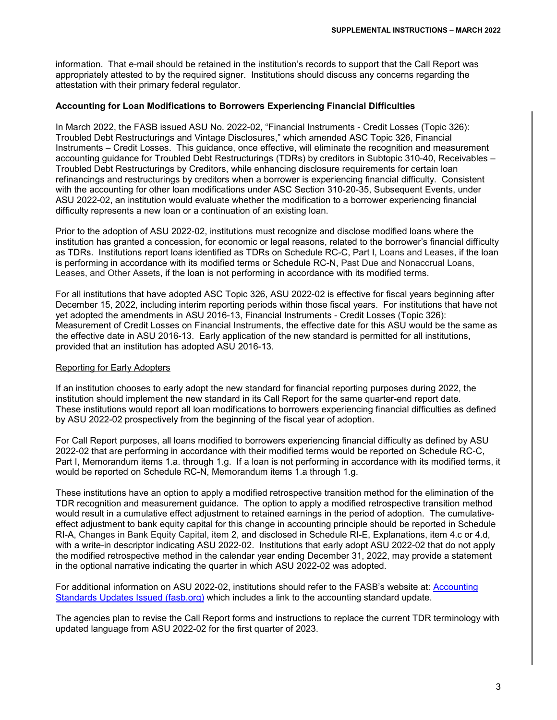information. That e-mail should be retained in the institution's records to support that the Call Report was appropriately attested to by the required signer. Institutions should discuss any concerns regarding the attestation with their primary federal regulator.

#### **Accounting for Loan Modifications to Borrowers Experiencing Financial Difficulties**

In March 2022, the FASB issued ASU No. 2022-02, "Financial Instruments - Credit Losses (Topic 326): Troubled Debt Restructurings and Vintage Disclosures," which amended ASC Topic 326, Financial Instruments – Credit Losses. This guidance, once effective, will eliminate the recognition and measurement accounting guidance for Troubled Debt Restructurings (TDRs) by creditors in Subtopic 310-40, Receivables – Troubled Debt Restructurings by Creditors, while enhancing disclosure requirements for certain loan refinancings and restructurings by creditors when a borrower is experiencing financial difficulty. Consistent with the accounting for other loan modifications under ASC Section 310-20-35, Subsequent Events, under ASU 2022-02, an institution would evaluate whether the modification to a borrower experiencing financial difficulty represents a new loan or a continuation of an existing loan.

Prior to the adoption of ASU 2022-02, institutions must recognize and disclose modified loans where the institution has granted a concession, for economic or legal reasons, related to the borrower's financial difficulty as TDRs. Institutions report loans identified as TDRs on Schedule RC-C, Part I, Loans and Leases, if the loan is performing in accordance with its modified terms or Schedule RC-N, Past Due and Nonaccrual Loans, Leases, and Other Assets, if the loan is not performing in accordance with its modified terms.

For all institutions that have adopted ASC Topic 326, ASU 2022-02 is effective for fiscal years beginning after December 15, 2022, including interim reporting periods within those fiscal years. For institutions that have not yet adopted the amendments in ASU 2016-13, Financial Instruments - Credit Losses (Topic 326): Measurement of Credit Losses on Financial Instruments, the effective date for this ASU would be the same as the effective date in ASU 2016-13. Early application of the new standard is permitted for all institutions, provided that an institution has adopted ASU 2016-13.

#### Reporting for Early Adopters

If an institution chooses to early adopt the new standard for financial reporting purposes during 2022, the institution should implement the new standard in its Call Report for the same quarter-end report date. These institutions would report all loan modifications to borrowers experiencing financial difficulties as defined by ASU 2022-02 prospectively from the beginning of the fiscal year of adoption.

For Call Report purposes, all loans modified to borrowers experiencing financial difficulty as defined by ASU 2022-02 that are performing in accordance with their modified terms would be reported on Schedule RC-C, Part I, Memorandum items 1.a. through 1.g. If a loan is not performing in accordance with its modified terms, it would be reported on Schedule RC-N, Memorandum items 1.a through 1.g.

These institutions have an option to apply a modified retrospective transition method for the elimination of the TDR recognition and measurement guidance. The option to apply a modified retrospective transition method would result in a cumulative effect adjustment to retained earnings in the period of adoption. The cumulativeeffect adjustment to bank equity capital for this change in accounting principle should be reported in Schedule RI-A, Changes in Bank Equity Capital, item 2, and disclosed in Schedule RI-E, Explanations, item 4.c or 4.d, with a write-in descriptor indicating ASU 2022-02. Institutions that early adopt ASU 2022-02 that do not apply the modified retrospective method in the calendar year ending December 31, 2022, may provide a statement in the optional narrative indicating the quarter in which ASU 2022-02 was adopted.

For additional information on ASU 2022-02, institutions should refer to the FASB's website at: [Accounting](https://fasb.org/page/PageContent?pageId=/standards/accounting-standards-updates-issued.html)  [Standards Updates Issued \(fasb.org\)](https://fasb.org/page/PageContent?pageId=/standards/accounting-standards-updates-issued.html) which includes a link to the accounting standard update.

The agencies plan to revise the Call Report forms and instructions to replace the current TDR terminology with updated language from ASU 2022-02 for the first quarter of 2023.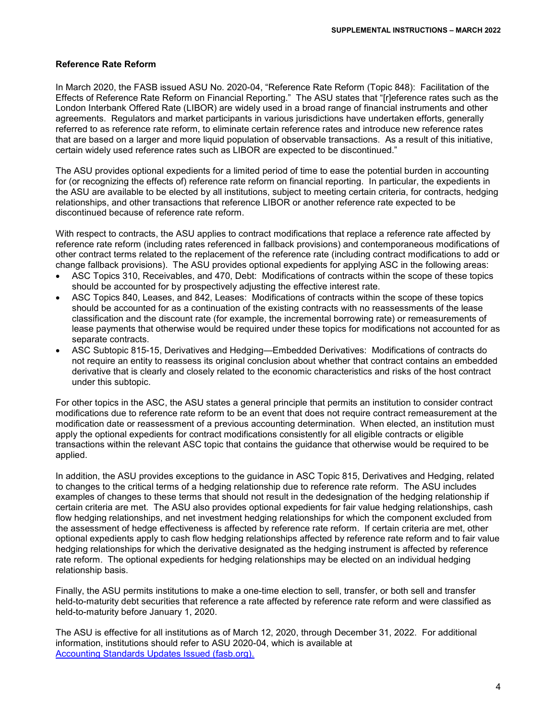#### **Reference Rate Reform**

In March 2020, the FASB issued ASU No. 2020-04, "Reference Rate Reform (Topic 848): Facilitation of the Effects of Reference Rate Reform on Financial Reporting." The ASU states that "[r]eference rates such as the London Interbank Offered Rate (LIBOR) are widely used in a broad range of financial instruments and other agreements. Regulators and market participants in various jurisdictions have undertaken efforts, generally referred to as reference rate reform, to eliminate certain reference rates and introduce new reference rates that are based on a larger and more liquid population of observable transactions. As a result of this initiative, certain widely used reference rates such as LIBOR are expected to be discontinued."

The ASU provides optional expedients for a limited period of time to ease the potential burden in accounting for (or recognizing the effects of) reference rate reform on financial reporting. In particular, the expedients in the ASU are available to be elected by all institutions, subject to meeting certain criteria, for contracts, hedging relationships, and other transactions that reference LIBOR or another reference rate expected to be discontinued because of reference rate reform.

With respect to contracts, the ASU applies to contract modifications that replace a reference rate affected by reference rate reform (including rates referenced in fallback provisions) and contemporaneous modifications of other contract terms related to the replacement of the reference rate (including contract modifications to add or change fallback provisions). The ASU provides optional expedients for applying ASC in the following areas:

- ASC Topics 310, Receivables, and 470, Debt: Modifications of contracts within the scope of these topics should be accounted for by prospectively adjusting the effective interest rate.
- ASC Topics 840, Leases, and 842, Leases: Modifications of contracts within the scope of these topics should be accounted for as a continuation of the existing contracts with no reassessments of the lease classification and the discount rate (for example, the incremental borrowing rate) or remeasurements of lease payments that otherwise would be required under these topics for modifications not accounted for as separate contracts.
- ASC Subtopic 815-15, Derivatives and Hedging—Embedded Derivatives: Modifications of contracts do not require an entity to reassess its original conclusion about whether that contract contains an embedded derivative that is clearly and closely related to the economic characteristics and risks of the host contract under this subtopic.

For other topics in the ASC, the ASU states a general principle that permits an institution to consider contract modifications due to reference rate reform to be an event that does not require contract remeasurement at the modification date or reassessment of a previous accounting determination. When elected, an institution must apply the optional expedients for contract modifications consistently for all eligible contracts or eligible transactions within the relevant ASC topic that contains the guidance that otherwise would be required to be applied.

In addition, the ASU provides exceptions to the guidance in ASC Topic 815, Derivatives and Hedging, related to changes to the critical terms of a hedging relationship due to reference rate reform. The ASU includes examples of changes to these terms that should not result in the dedesignation of the hedging relationship if certain criteria are met. The ASU also provides optional expedients for fair value hedging relationships, cash flow hedging relationships, and net investment hedging relationships for which the component excluded from the assessment of hedge effectiveness is affected by reference rate reform. If certain criteria are met, other optional expedients apply to cash flow hedging relationships affected by reference rate reform and to fair value hedging relationships for which the derivative designated as the hedging instrument is affected by reference rate reform. The optional expedients for hedging relationships may be elected on an individual hedging relationship basis.

Finally, the ASU permits institutions to make a one-time election to sell, transfer, or both sell and transfer held-to-maturity debt securities that reference a rate affected by reference rate reform and were classified as held-to-maturity before January 1, 2020.

The ASU is effective for all institutions as of March 12, 2020, through December 31, 2022. For additional information, institutions should refer to ASU 2020-04, which is available at [Accounting Standards Updates Issued \(fasb.org\).](https://fasb.org/page/PageContent?pageId=/standards/accounting-standards-updates-issued.html)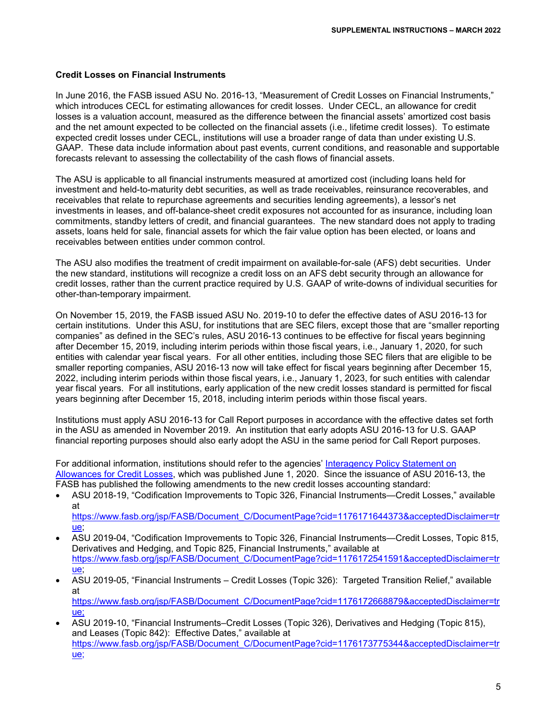#### **Credit Losses on Financial Instruments**

In June 2016, the FASB issued ASU No. 2016-13, "Measurement of Credit Losses on Financial Instruments," which introduces CECL for estimating allowances for credit losses. Under CECL, an allowance for credit losses is a valuation account, measured as the difference between the financial assets' amortized cost basis and the net amount expected to be collected on the financial assets (i.e., lifetime credit losses). To estimate expected credit losses under CECL, institutions will use a broader range of data than under existing U.S. GAAP. These data include information about past events, current conditions, and reasonable and supportable forecasts relevant to assessing the collectability of the cash flows of financial assets.

The ASU is applicable to all financial instruments measured at amortized cost (including loans held for investment and held-to-maturity debt securities, as well as trade receivables, reinsurance recoverables, and receivables that relate to repurchase agreements and securities lending agreements), a lessor's net investments in leases, and off-balance-sheet credit exposures not accounted for as insurance, including loan commitments, standby letters of credit, and financial guarantees. The new standard does not apply to trading assets, loans held for sale, financial assets for which the fair value option has been elected, or loans and receivables between entities under common control.

The ASU also modifies the treatment of credit impairment on available-for-sale (AFS) debt securities. Under the new standard, institutions will recognize a credit loss on an AFS debt security through an allowance for credit losses, rather than the current practice required by U.S. GAAP of write-downs of individual securities for other-than-temporary impairment.

On November 15, 2019, the FASB issued ASU No. 2019-10 to defer the effective dates of ASU 2016-13 for certain institutions. Under this ASU, for institutions that are SEC filers, except those that are "smaller reporting companies" as defined in the SEC's rules, ASU 2016-13 continues to be effective for fiscal years beginning after December 15, 2019, including interim periods within those fiscal years, i.e., January 1, 2020, for such entities with calendar year fiscal years. For all other entities, including those SEC filers that are eligible to be smaller reporting companies, ASU 2016-13 now will take effect for fiscal years beginning after December 15, 2022, including interim periods within those fiscal years, i.e., January 1, 2023, for such entities with calendar year fiscal years. For all institutions, early application of the new credit losses standard is permitted for fiscal years beginning after December 15, 2018, including interim periods within those fiscal years.

Institutions must apply ASU 2016-13 for Call Report purposes in accordance with the effective dates set forth in the ASU as amended in November 2019. An institution that early adopts ASU 2016-13 for U.S. GAAP financial reporting purposes should also early adopt the ASU in the same period for Call Report purposes.

For additional information, institutions should refer to the agencies' [Interagency Policy Statement on](https://www.govinfo.gov/content/pkg/FR-2020-06-01/pdf/2020-10291.pdf)  [Allowances for Credit Losses,](https://www.govinfo.gov/content/pkg/FR-2020-06-01/pdf/2020-10291.pdf) which was published June 1, 2020. Since the issuance of ASU 2016-13, the FASB has published the following amendments to the new credit losses accounting standard:

- ASU 2018-19, "Codification Improvements to Topic 326, Financial Instruments—Credit Losses," available at [https://www.fasb.org/jsp/FASB/Document\\_C/DocumentPage?cid=1176171644373&acceptedDisclaimer=tr](https://www.fasb.org/jsp/FASB/Document_C/DocumentPage?cid=1176171644373&acceptedDisclaimer=true)
- [ue;](https://www.fasb.org/jsp/FASB/Document_C/DocumentPage?cid=1176171644373&acceptedDisclaimer=true) • ASU 2019-04, "Codification Improvements to Topic 326, Financial Instruments—Credit Losses, Topic 815,
- Derivatives and Hedging, and Topic 825, Financial Instruments," available at [https://www.fasb.org/jsp/FASB/Document\\_C/DocumentPage?cid=1176172541591&acceptedDisclaimer=tr](https://www.fasb.org/jsp/FASB/Document_C/DocumentPage?cid=1176172541591&acceptedDisclaimer=true) [ue;](https://www.fasb.org/jsp/FASB/Document_C/DocumentPage?cid=1176172541591&acceptedDisclaimer=true)
- ASU 2019-05, "Financial Instruments Credit Losses (Topic 326): Targeted Transition Relief," available at

[https://www.fasb.org/jsp/FASB/Document\\_C/DocumentPage?cid=1176172668879&acceptedDisclaimer=tr](https://www.fasb.org/jsp/FASB/Document_C/DocumentPage?cid=1176172668879&acceptedDisclaimer=true) [ue;](https://www.fasb.org/jsp/FASB/Document_C/DocumentPage?cid=1176172668879&acceptedDisclaimer=true)

• ASU 2019-10, "Financial Instruments‒Credit Losses (Topic 326), Derivatives and Hedging (Topic 815), and Leases (Topic 842): Effective Dates," available at https://www.fasb.org/isp/FASB/Document\_C/DocumentPage?cid=1176173775344&acceptedDisclaimer=tr [ue;](https://www.fasb.org/jsp/FASB/Document_C/DocumentPage?cid=1176173775344&acceptedDisclaimer=true)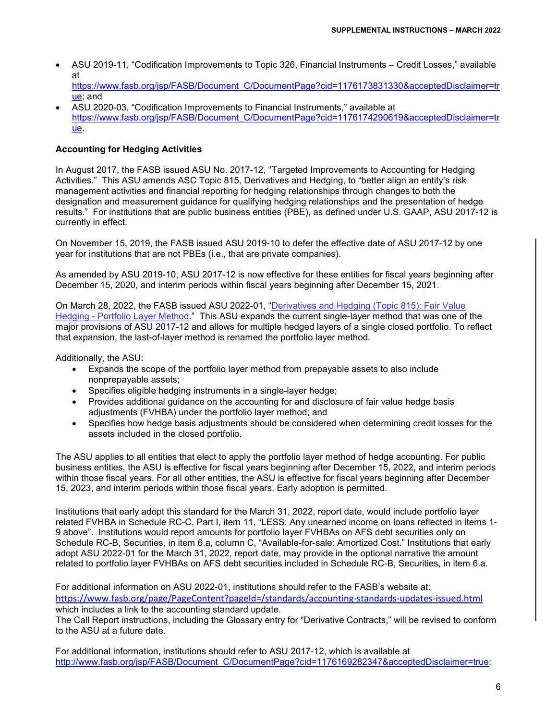• ASU 2019-11, "Codification Improvements to Topic 326, Financial Instruments – Credit Losses," available at [https://www.fasb.org/jsp/FASB/Document\\_C/DocumentPage?cid=1176173831330&acceptedDisclaimer=tr](https://www.fasb.org/jsp/FASB/Document_C/DocumentPage?cid=1176173831330&acceptedDisclaimer=true)

[ue;](https://www.fasb.org/jsp/FASB/Document_C/DocumentPage?cid=1176173831330&acceptedDisclaimer=true) and • ASU 2020-03, "Codification Improvements to Financial Instruments," available at [https://www.fasb.org/jsp/FASB/Document\\_C/DocumentPage?cid=1176174290619&acceptedDisclaimer=tr](https://www.fasb.org/jsp/FASB/Document_C/DocumentPage?cid=1176174290619&acceptedDisclaimer=true) [ue.](https://www.fasb.org/jsp/FASB/Document_C/DocumentPage?cid=1176174290619&acceptedDisclaimer=true)

### **Accounting for Hedging Activities**

In August 2017, the FASB issued ASU No. 2017-12, "Targeted Improvements to Accounting for Hedging Activities." This ASU amends ASC Topic 815, Derivatives and Hedging, to "better align an entity's risk management activities and financial reporting for hedging relationships through changes to both the designation and measurement guidance for qualifying hedging relationships and the presentation of hedge results." For institutions that are public business entities (PBE), as defined under U.S. GAAP, ASU 2017-12 is currently in effect.

On November 15, 2019, the FASB issued ASU 2019-10 to defer the effective date of ASU 2017-12 by one year for institutions that are not PBEs (i.e., that are private companies).

As amended by ASU 2019-10, ASU 2017-12 is now effective for these entities for fiscal years beginning after December 15, 2020, and interim periods within fiscal years beginning after December 15, 2021.

On March 28, 2022, the FASB issued [ASU 2022-01, "Derivatives and Hedging \(Topic 815\): Fair Value](https://fasb.org/Page/ShowPdf?path=ASU+2022-01.pdf&title=ACCOUNTING+STANDARDS+UPDATE+2022-01%E2%80%94DERIVATIVES+AND+HEDGING+%28TOPIC+815%29%3A+FAIR+VALUE+HEDGING%E2%80%94PORTFOLIO+LAYER+METHOD&acceptedDisclaimer=true&Submit=)  [Hedging - Portfolio Layer Method.](https://fasb.org/Page/ShowPdf?path=ASU+2022-01.pdf&title=ACCOUNTING+STANDARDS+UPDATE+2022-01%E2%80%94DERIVATIVES+AND+HEDGING+%28TOPIC+815%29%3A+FAIR+VALUE+HEDGING%E2%80%94PORTFOLIO+LAYER+METHOD&acceptedDisclaimer=true&Submit=)" This ASU expands the current single-layer method that was one of the major provisions of ASU 2017-12 and allows for multiple hedged layers of a single closed portfolio. To reflect that expansion, the last-of-layer method is renamed the portfolio layer method.

Additionally, the ASU:

- Expands the scope of the portfolio layer method from prepayable assets to also include nonprepayable assets;
- Specifies eligible hedging instruments in a single-layer hedge;
- Provides additional guidance on the accounting for and disclosure of fair value hedge basis adjustments (FVHBA) under the portfolio layer method; and
- Specifies how hedge basis adjustments should be considered when determining credit losses for the assets included in the closed portfolio.

The ASU applies to all entities that elect to apply the portfolio layer method of hedge accounting. For public business entities, the ASU is effective for fiscal years beginning after December 15, 2022, and interim periods within those fiscal years. For all other entities, the ASU is effective for fiscal years beginning after December 15, 2023, and interim periods within those fiscal years. Early adoption is permitted.

Institutions that early adopt this standard for the March 31, 2022, report date, would include portfolio layer related FVHBA in Schedule RC-C, Part I, item 11, "LESS: Any unearned income on loans reflected in items 1- 9 above". Institutions would report amounts for portfolio layer FVHBAs on AFS debt securities only on Schedule RC-B, Securities, in item 6.a, column C, "Available-for-sale: Amortized Cost." Institutions that early adopt ASU 2022-01 for the March 31, 2022, report date, may provide in the optional narrative the amount related to portfolio layer FVHBAs on AFS debt securities included in Schedule RC-B, Securities, in item 6.a.

For additional information on ASU 2022-01, institutions should refer to the FASB's website at: <https://www.fasb.org/page/PageContent?pageId=/standards/accounting-standards-updates-issued.html> which includes a link to the accounting standard update.

The Call Report instructions, including the Glossary entry for "Derivative Contracts," will be revised to conform to the ASU at a future date.

For additional information, institutions should refer to ASU 2017-12, which is available at [http://www.fasb.org/jsp/FASB/Document\\_C/DocumentPage?cid=1176169282347&acceptedDisclaimer=true;](http://www.fasb.org/jsp/FASB/Document_C/DocumentPage?cid=1176169282347&acceptedDisclaimer=true)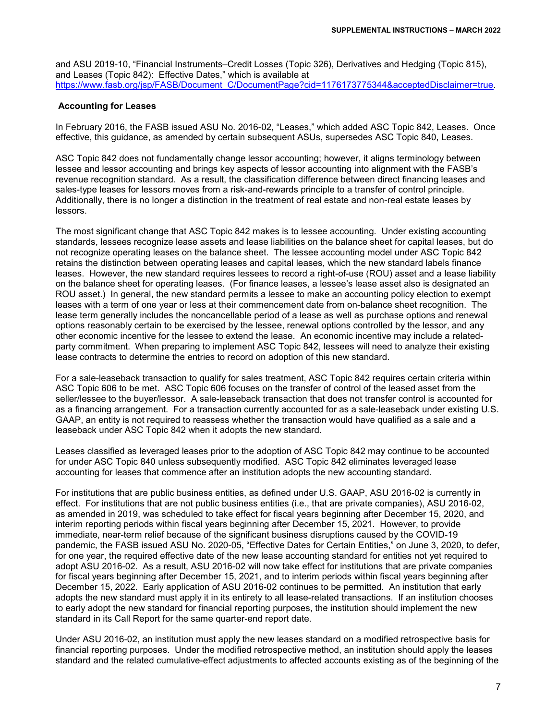and ASU 2019-10, "Financial Instruments–Credit Losses (Topic 326), Derivatives and Hedging (Topic 815), and Leases (Topic 842): Effective Dates," which is available at [https://www.fasb.org/jsp/FASB/Document\\_C/DocumentPage?cid=1176173775344&acceptedDisclaimer=true.](https://www.fasb.org/jsp/FASB/Document_C/DocumentPage?cid=1176173775344&acceptedDisclaimer=true)

#### **Accounting for Leases**

In February 2016, the FASB issued ASU No. 2016-02, "Leases," which added ASC Topic 842, Leases. Once effective, this guidance, as amended by certain subsequent ASUs, supersedes ASC Topic 840, Leases.

ASC Topic 842 does not fundamentally change lessor accounting; however, it aligns terminology between lessee and lessor accounting and brings key aspects of lessor accounting into alignment with the FASB's revenue recognition standard. As a result, the classification difference between direct financing leases and sales-type leases for lessors moves from a risk-and-rewards principle to a transfer of control principle. Additionally, there is no longer a distinction in the treatment of real estate and non-real estate leases by lessors.

The most significant change that ASC Topic 842 makes is to lessee accounting. Under existing accounting standards, lessees recognize lease assets and lease liabilities on the balance sheet for capital leases, but do not recognize operating leases on the balance sheet. The lessee accounting model under ASC Topic 842 retains the distinction between operating leases and capital leases, which the new standard labels finance leases. However, the new standard requires lessees to record a right-of-use (ROU) asset and a lease liability on the balance sheet for operating leases. (For finance leases, a lessee's lease asset also is designated an ROU asset.) In general, the new standard permits a lessee to make an accounting policy election to exempt leases with a term of one year or less at their commencement date from on-balance sheet recognition. The lease term generally includes the noncancellable period of a lease as well as purchase options and renewal options reasonably certain to be exercised by the lessee, renewal options controlled by the lessor, and any other economic incentive for the lessee to extend the lease. An economic incentive may include a relatedparty commitment. When preparing to implement ASC Topic 842, lessees will need to analyze their existing lease contracts to determine the entries to record on adoption of this new standard.

For a sale-leaseback transaction to qualify for sales treatment, ASC Topic 842 requires certain criteria within ASC Topic 606 to be met. ASC Topic 606 focuses on the transfer of control of the leased asset from the seller/lessee to the buyer/lessor. A sale-leaseback transaction that does not transfer control is accounted for as a financing arrangement. For a transaction currently accounted for as a sale-leaseback under existing U.S. GAAP, an entity is not required to reassess whether the transaction would have qualified as a sale and a leaseback under ASC Topic 842 when it adopts the new standard.

Leases classified as leveraged leases prior to the adoption of ASC Topic 842 may continue to be accounted for under ASC Topic 840 unless subsequently modified. ASC Topic 842 eliminates leveraged lease accounting for leases that commence after an institution adopts the new accounting standard.

For institutions that are public business entities, as defined under U.S. GAAP, ASU 2016-02 is currently in effect. For institutions that are not public business entities (i.e., that are private companies), ASU 2016-02, as amended in 2019, was scheduled to take effect for fiscal years beginning after December 15, 2020, and interim reporting periods within fiscal years beginning after December 15, 2021. However, to provide immediate, near-term relief because of the significant business disruptions caused by the COVID-19 pandemic, the FASB issued ASU No. 2020-05, "Effective Dates for Certain Entities," on June 3, 2020, to defer, for one year, the required effective date of the new lease accounting standard for entities not yet required to adopt ASU 2016-02. As a result, ASU 2016-02 will now take effect for institutions that are private companies for fiscal years beginning after December 15, 2021, and to interim periods within fiscal years beginning after December 15, 2022. Early application of ASU 2016-02 continues to be permitted. An institution that early adopts the new standard must apply it in its entirety to all lease-related transactions. If an institution chooses to early adopt the new standard for financial reporting purposes, the institution should implement the new standard in its Call Report for the same quarter-end report date.

Under ASU 2016-02, an institution must apply the new leases standard on a modified retrospective basis for financial reporting purposes. Under the modified retrospective method, an institution should apply the leases standard and the related cumulative-effect adjustments to affected accounts existing as of the beginning of the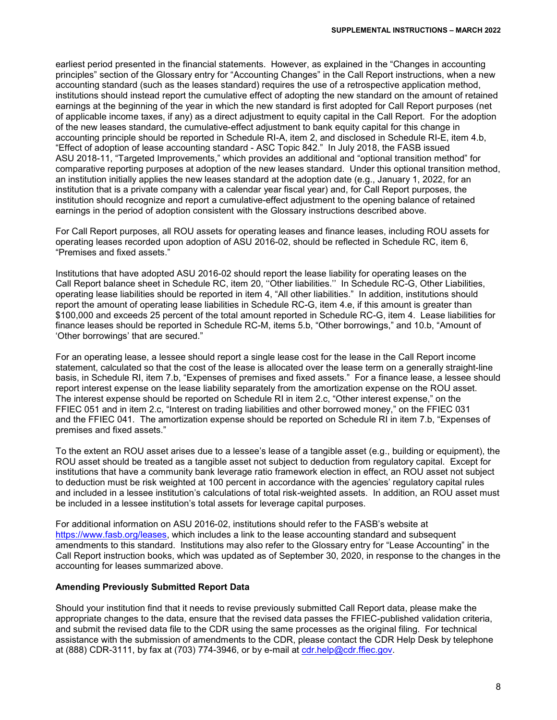earliest period presented in the financial statements. However, as explained in the "Changes in accounting principles" section of the Glossary entry for "Accounting Changes" in the Call Report instructions, when a new accounting standard (such as the leases standard) requires the use of a retrospective application method, institutions should instead report the cumulative effect of adopting the new standard on the amount of retained earnings at the beginning of the year in which the new standard is first adopted for Call Report purposes (net of applicable income taxes, if any) as a direct adjustment to equity capital in the Call Report. For the adoption of the new leases standard, the cumulative-effect adjustment to bank equity capital for this change in accounting principle should be reported in Schedule RI-A, item 2, and disclosed in Schedule RI-E, item 4.b, "Effect of adoption of lease accounting standard - ASC Topic 842." In July 2018, the FASB issued ASU 2018-11, "Targeted Improvements," which provides an additional and "optional transition method" for comparative reporting purposes at adoption of the new leases standard. Under this optional transition method, an institution initially applies the new leases standard at the adoption date (e.g., January 1, 2022, for an institution that is a private company with a calendar year fiscal year) and, for Call Report purposes, the institution should recognize and report a cumulative-effect adjustment to the opening balance of retained earnings in the period of adoption consistent with the Glossary instructions described above.

For Call Report purposes, all ROU assets for operating leases and finance leases, including ROU assets for operating leases recorded upon adoption of ASU 2016-02, should be reflected in Schedule RC, item 6, "Premises and fixed assets."

Institutions that have adopted ASU 2016-02 should report the lease liability for operating leases on the Call Report balance sheet in Schedule RC, item 20, ''Other liabilities.'' In Schedule RC-G, Other Liabilities, operating lease liabilities should be reported in item 4, "All other liabilities." In addition, institutions should report the amount of operating lease liabilities in Schedule RC-G, item 4.e, if this amount is greater than \$100,000 and exceeds 25 percent of the total amount reported in Schedule RC-G, item 4. Lease liabilities for finance leases should be reported in Schedule RC-M, items 5.b, "Other borrowings," and 10.b, "Amount of 'Other borrowings' that are secured."

For an operating lease, a lessee should report a single lease cost for the lease in the Call Report income statement, calculated so that the cost of the lease is allocated over the lease term on a generally straight-line basis, in Schedule RI, item 7.b, "Expenses of premises and fixed assets." For a finance lease, a lessee should report interest expense on the lease liability separately from the amortization expense on the ROU asset. The interest expense should be reported on Schedule RI in item 2.c, "Other interest expense," on the FFIEC 051 and in item 2.c, "Interest on trading liabilities and other borrowed money," on the FFIEC 031 and the FFIEC 041. The amortization expense should be reported on Schedule RI in item 7.b, "Expenses of premises and fixed assets."

To the extent an ROU asset arises due to a lessee's lease of a tangible asset (e.g., building or equipment), the ROU asset should be treated as a tangible asset not subject to deduction from regulatory capital. Except for institutions that have a community bank leverage ratio framework election in effect, an ROU asset not subject to deduction must be risk weighted at 100 percent in accordance with the agencies' regulatory capital rules and included in a lessee institution's calculations of total risk-weighted assets. In addition, an ROU asset must be included in a lessee institution's total assets for leverage capital purposes.

For additional information on ASU 2016-02, institutions should refer to the FASB's website at [https://www.fasb.org/leases,](https://www.fasb.org/leases) which includes a link to the lease accounting standard and subsequent amendments to this standard. Institutions may also refer to the Glossary entry for "Lease Accounting" in the Call Report instruction books, which was updated as of September 30, 2020, in response to the changes in the accounting for leases summarized above.

#### **Amending Previously Submitted Report Data**

Should your institution find that it needs to revise previously submitted Call Report data, please make the appropriate changes to the data, ensure that the revised data passes the FFIEC-published validation criteria, and submit the revised data file to the CDR using the same processes as the original filing. For technical assistance with the submission of amendments to the CDR, please contact the CDR Help Desk by telephone at (888) CDR-3111, by fax at (703) 774-3946, or by e-mail at [cdr.help@cdr.ffiec.gov.](mailto:cdr.help@cdr.ffiec.gov)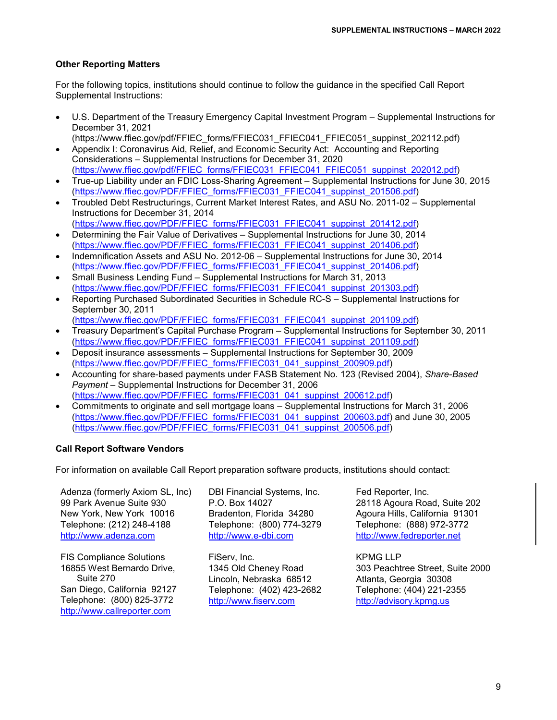#### **Other Reporting Matters**

For the following topics, institutions should continue to follow the guidance in the specified Call Report Supplemental Instructions:

- U.S. Department of the Treasury Emergency Capital Investment Program Supplemental Instructions for December 31, 2021
- (https://www.ffiec.gov/pdf/FFIEC\_forms/FFIEC031\_FFIEC041\_FFIEC051\_suppinst\_202112.pdf) • Appendix I: Coronavirus Aid, Relief, and Economic Security Act: Accounting and Reporting Considerations – Supplemental Instructions for December 31, 2020
- [\(https://www.ffiec.gov/pdf/FFIEC\\_forms/FFIEC031\\_FFIEC041\\_FFIEC051\\_suppinst\\_202012.pdf\)](https://www.ffiec.gov/pdf/FFIEC_forms/FFIEC031_FFIEC041_FFIEC051_suppinst_202012.pdf) • True-up Liability under an FDIC Loss-Sharing Agreement – Supplemental Instructions for June 30, 2015
- [\(https://www.ffiec.gov/PDF/FFIEC\\_forms/FFIEC031\\_FFIEC041\\_suppinst\\_201506.pdf\)](https://www.ffiec.gov/PDF/FFIEC_forms/FFIEC031_FFIEC041_suppinst_201506.pdf) • Troubled Debt Restructurings, Current Market Interest Rates, and ASU No. 2011-02 – Supplemental
- Instructions for December 31, 2014 [\(https://www.ffiec.gov/PDF/FFIEC\\_forms/FFIEC031\\_FFIEC041\\_suppinst\\_201412.pdf\)](https://www.ffiec.gov/PDF/FFIEC_forms/FFIEC031_FFIEC041_suppinst_201412.pdf)
- Determining the Fair Value of Derivatives Supplemental Instructions for June 30, 2014 [\(https://www.ffiec.gov/PDF/FFIEC\\_forms/FFIEC031\\_FFIEC041\\_suppinst\\_201406.pdf\)](https://www.ffiec.gov/PDF/FFIEC_forms/FFIEC031_FFIEC041_suppinst_201406.pdf)
- Indemnification Assets and ASU No. 2012-06 Supplemental Instructions for June 30, 2014 [\(https://www.ffiec.gov/PDF/FFIEC\\_forms/FFIEC031\\_FFIEC041\\_suppinst\\_201406.pdf\)](https://www.ffiec.gov/PDF/FFIEC_forms/FFIEC031_FFIEC041_suppinst_201406.pdf)
- Small Business Lending Fund Supplemental Instructions for March 31, 2013 [\(https://www.ffiec.gov/PDF/FFIEC\\_forms/FFIEC031\\_FFIEC041\\_suppinst\\_201303.pdf\)](https://www.ffiec.gov/PDF/FFIEC_forms/FFIEC031_FFIEC041_suppinst_201303.pdf)
- Reporting Purchased Subordinated Securities in Schedule RC-S Supplemental Instructions for September 30, 2011 [\(https://www.ffiec.gov/PDF/FFIEC\\_forms/FFIEC031\\_FFIEC041\\_suppinst\\_201109.pdf\)](https://www.ffiec.gov/PDF/FFIEC_forms/FFIEC031_FFIEC041_suppinst_201109.pdf)
- Treasury Department's Capital Purchase Program Supplemental Instructions for September 30, 2011 [\(https://www.ffiec.gov/PDF/FFIEC\\_forms/FFIEC031\\_FFIEC041\\_suppinst\\_201109.pdf\)](https://www.ffiec.gov/PDF/FFIEC_forms/FFIEC031_FFIEC041_suppinst_201109.pdf)
- Deposit insurance assessments Supplemental Instructions for September 30, 2009 [\(https://www.ffiec.gov/PDF/FFIEC\\_forms/FFIEC031\\_041\\_suppinst\\_200909.pdf\)](https://www.ffiec.gov/PDF/FFIEC_forms/FFIEC031_041_suppinst_200909.pdf)
- Accounting for share-based payments under FASB Statement No. 123 (Revised 2004), *Share-Based Payment* – Supplemental Instructions for December 31, 2006 [\(https://www.ffiec.gov/PDF/FFIEC\\_forms/FFIEC031\\_041\\_suppinst\\_200612.pdf\)](https://www.ffiec.gov/PDF/FFIEC_forms/FFIEC031_041_suppinst_200612.pdf)
- Commitments to originate and sell mortgage loans Supplemental Instructions for March 31, 2006 [\(https://www.ffiec.gov/PDF/FFIEC\\_forms/FFIEC031\\_041\\_suppinst\\_200603.pdf\)](https://www.ffiec.gov/PDF/FFIEC_forms/FFIEC031_041_suppinst_200603.pdf) and June 30, 2005 [\(https://www.ffiec.gov/PDF/FFIEC\\_forms/FFIEC031\\_041\\_suppinst\\_200506.pdf\)](https://www.ffiec.gov/PDF/FFIEC_forms/FFIEC031_041_suppinst_200506.pdf)

#### **Call Report Software Vendors**

For information on available Call Report preparation software products, institutions should contact:

Adenza (formerly Axiom SL, Inc) 99 Park Avenue Suite 930 New York, New York 10016 Telephone: (212) 248-4188 [http://www.adenza.com](http://www.adenza.com/)

FIS Compliance Solutions 16855 West Bernardo Drive, Suite 270 San Diego, California 92127 Telephone: (800) 825-3772 [http://www.callreporter.com](http://www.callreporter.com/)

DBI Financial Systems, Inc. P.O. Box 14027 Bradenton, Florida 34280 Telephone: (800) 774-3279 [http://www.e-dbi.com](http://www.e-dbi.com/)

FiServ, Inc. 1345 Old Cheney Road Lincoln, Nebraska 68512 Telephone: (402) 423-2682 [http://www.fiserv.com](http://www.fiserv.com/)

Fed Reporter, Inc. 28118 Agoura Road, Suite 202 Agoura Hills, California 91301 Telephone: (888) 972-3772 [http://www.fedreporter.net](http://www.fedreporter.net/)

KPMG LLP 303 Peachtree Street, Suite 2000 Atlanta, Georgia 30308 Telephone: (404) 221-2355 [http://advisory.kpmg.us](http://advisory.kpmg.us/)